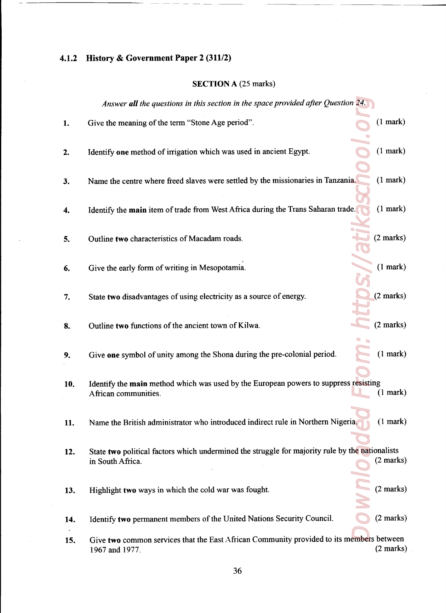## 4.1.2 History & Government Paper <sup>2</sup> (311/2)

## SECTION A (25 marks)

|     | Answer all the questions in this section in the space provided after Question 24.                                   |                     |  |
|-----|---------------------------------------------------------------------------------------------------------------------|---------------------|--|
| 1.  | Give the meaning of the term "Stone Age period".                                                                    | (1 mark)            |  |
| 2.  | Identify one method of irrigation which was used in ancient Egypt.                                                  | (1 mark)            |  |
| 3.  | Name the centre where freed slaves were settled by the missionaries in Tanzania.                                    | $(1$ mark $)$       |  |
| 4.  | Identify the main item of trade from West Africa during the Trans Saharan trade.                                    | (1 mark)            |  |
| 5.  | Outline two characteristics of Macadam roads.                                                                       | $(2 \text{ marks})$ |  |
| 6.  | Give the early form of writing in Mesopotamia.                                                                      | (1 mark)            |  |
| 7.  | State two disadvantages of using electricity as a source of energy.                                                 | $(2 \text{ marks})$ |  |
| 8.  | Outline two functions of the ancient town of Kilwa.                                                                 | $(2 \text{ marks})$ |  |
| 9.  | Give one symbol of unity among the Shona during the pre-colonial period.                                            | (1 mark)            |  |
| 10. | Identify the main method which was used by the European powers to suppress resisting<br>African communities.        | (1 mark)            |  |
| 11. | Name the British administrator who introduced indirect rule in Northern Nigeria.                                    | (1 mark)            |  |
| 12. | State two political factors which undermined the struggle for majority rule by the nationalists<br>in South Africa. | $(2 \text{ marks})$ |  |
| 13. | Highlight two ways in which the cold war was fought.                                                                | $(2 \text{ marks})$ |  |
| 14. | Identify two permanent members of the United Nations Security Council.                                              | $(2 \text{ marks})$ |  |
| 15. | Give two common services that the East African Community provided to its members between<br>1967 and 1977.          | $(2 \text{ marks})$ |  |

36

and the contract of the contract of the